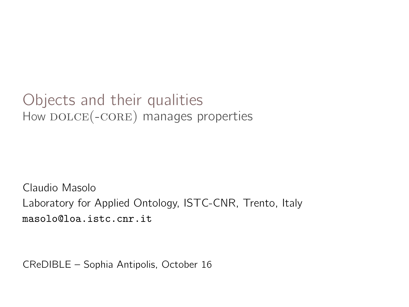#### Objects and their qualities How DOLCE(-CORE) manages properties

Claudio Masolo Laboratory for Applied Ontology, ISTC-CNR, Trento, Italy masolo@loa.istc.cnr.it

CReDIBLE – Sophia Antipolis, October 16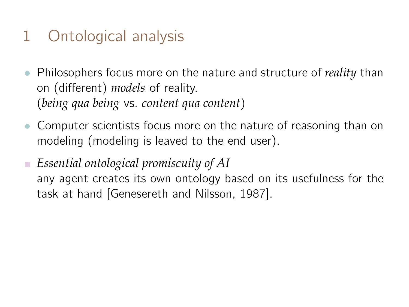# 1 Ontological analysis

- Philosophers focus more on the nature and structure of *reality* than on (different) *models* of reality. (*being qua being* vs. *content qua content*)
- Computer scientists focus more on the nature of reasoning than on modeling (modeling is leaved to the end user).
- *Essential ontological promiscuity of AI* any agent creates its own ontology based on its usefulness for the task at hand [Genesereth and Nilsson, 1987].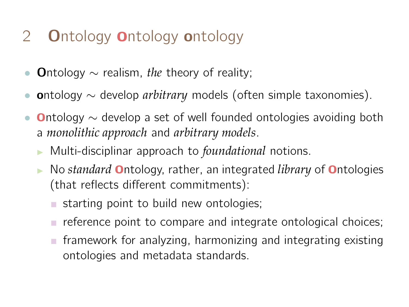# 2 **Ontology Ontology ontology**

- Ontology ∼ realism, *the* theory of reality;
- ontology ∼ develop *arbitrary* models (often simple taxonomies).
- **Ontology**  $\sim$  **develop a set of well founded ontologies avoiding both** a *monolithic approach* and *arbitrary models*.
	- <sup>I</sup> Multi-disciplinar approach to *foundational* notions.
	- No *standard* **O**ntology, rather, an integrated *library* of **O**ntologies (that reflects different commitments):
		- $\blacksquare$  starting point to build new ontologies;
		- reference point to compare and integrate ontological choices;
		- $\blacksquare$  framework for analyzing, harmonizing and integrating existing ontologies and metadata standards.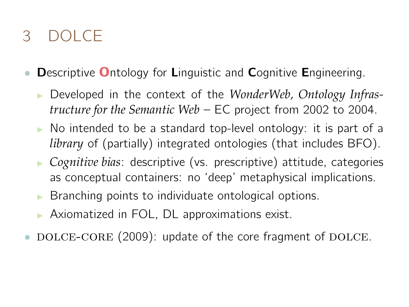# 3 DOLCE

- Descriptive Ontology for Linguistic and Cognitive Engineering.
	- **Developed in the context of the** *WonderWeb***, Ontology Infras***tructure for the Semantic Web* – EC project from 2002 to 2004.
	- $\triangleright$  No intended to be a standard top-level ontology: it is part of a *library* of (partially) integrated ontologies (that includes BFO).
	- <sup>I</sup> *Cognitive bias*: descriptive (vs. prescriptive) attitude, categories as conceptual containers: no 'deep' metaphysical implications.
	- $\triangleright$  Branching points to individuate ontological options.
	- $\triangleright$  Axiomatized in FOL, DL approximations exist.
- DOLCE-CORE (2009): update of the core fragment of DOLCE.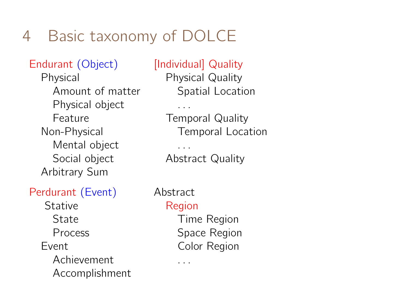# 4 Basic taxonomy of DOLCE

#### Endurant (Object) [Individual] Quality

Physical object ... Feature **Temporal Quality** Mental object ... Social object **Abstract Quality** Arbitrary Sum

#### Perdurant (Event) Abstract

Stative Region State **Time Region** Process Space Region Event Color Region Achievement ... Accomplishment

Physical Physical Quality Amount of matter Spatial Location

Non-Physical Temporal Location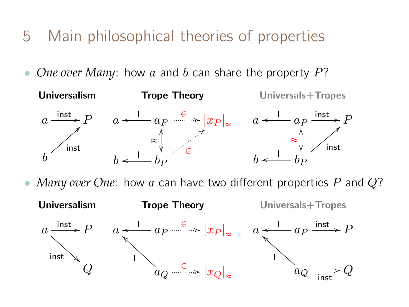- 5 Main philosophical theories of properties
- *One over Many*: how a and b can share the property P?



*Many over One*: how a can have two different properties P and Q?

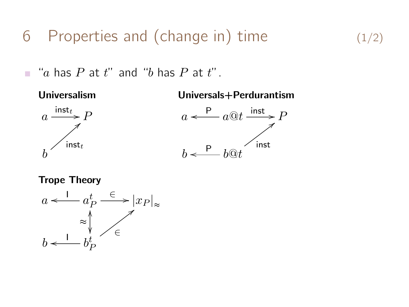6 Properties and (change in) time  $(1/2)$ 

 $\blacksquare$  "a has P at t" and "b has P at t".

Universalism Universals+Perdurantism





Trope Theory

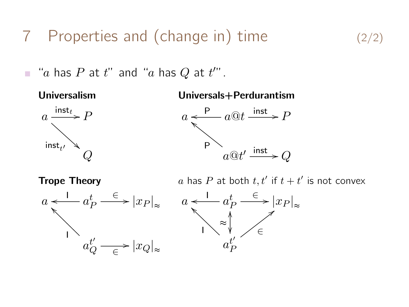7 Properties and (change in) time  $(2/2)$ 

 $\blacksquare$  "a has  $P$  at  $t$ " and "a has  $Q$  at  $t''$ ".

a  $\int$ inst<sub>t</sub> inst $_{t}$  $\sum_{i=1}^{n}$ 

#### Universalism Universals+Perdurantism



I

I

o

\_

 $\it{Q}$ 



**Trope Theory**  $a$  has P at both  $t, t'$  if  $t + t'$  is not convex

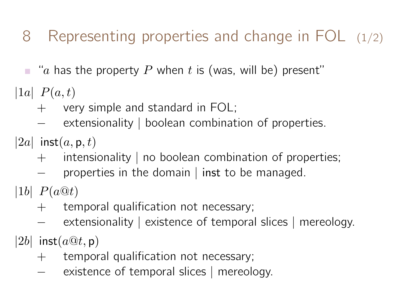- 8 Representing properties and change in FOL (1/2)
- $\blacksquare$  "a has the property P when t is (was, will be) present"
- |1a|  $P(a,t)$ 
	- $+$  very simple and standard in FOL;
	- extensionality | boolean combination of properties.
- |2a| inst $(a, p, t)$ 
	- + intensionality | no boolean combination of properties;
	- − properties in the domain | inst to be managed.
- |1b|  $P(a@t)$ 
	- $+$  temporal qualification not necessary;
	- extensionality | existence of temporal slices | mereology.
- $|2b|$  inst $(a@t, \mathsf{p})$ 
	- $+$  temporal qualification not necessary;
	- − existence of temporal slices | mereology.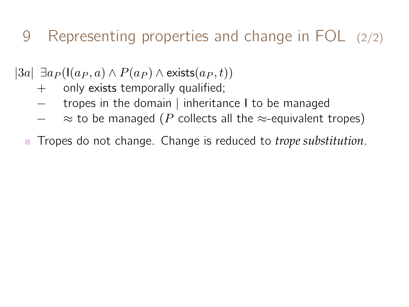- 9 Representing properties and change in FOL (2/2)
- $|3a| \; \exists a_P (\mathsf{I}(a_P, a) \wedge P(a_P) \wedge \mathsf{exists}(a_P, t))$ 
	- $+$  only exists temporally qualified;
	- − tropes in the domain | inheritance I to be managed
	- $\approx$  to be managed (P collects all the  $\approx$ -equivalent tropes)
	- Tropes do not change. Change is reduced to *trope substitution*.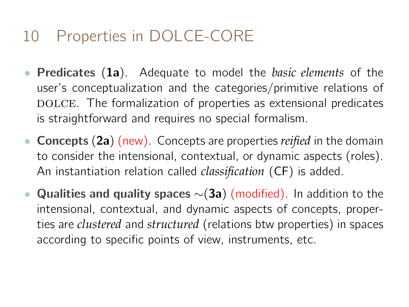# 10 Properties in DOLCE-CORE

- Predicates (1a). Adequate to model the *basic elements* of the user's conceptualization and the categories/primitive relations of DOLCE. The formalization of properties as extensional predicates is straightforward and requires no special formalism.
- Concepts (2a) (new). Concepts are properties *reified* in the domain to consider the intensional, contextual, or dynamic aspects (roles). An instantiation relation called *classification* (CF) is added.
- Qualities and quality spaces  $\sim$ (3a) (modified). In addition to the intensional, contextual, and dynamic aspects of concepts, properties are *clustered* and *structured* (relations btw properties) in spaces according to specific points of view, instruments, etc.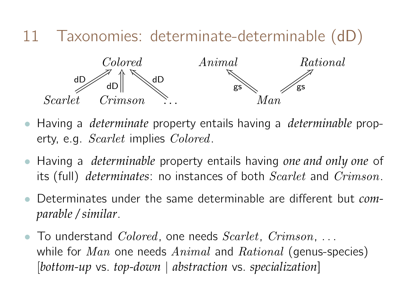

- Having a *determinate* property entails having a *determinable* property, e.g. *Scarlet* implies *Colored*.
- Having a *determinable* property entails having *one and only one* of its (full) *determinates*: no instances of both Scarlet and Crimson.
- Determinates under the same determinable are different but *comparable / similar*.
- To understand  $Colored$ , one needs  $Scarlet$ ,  $Crimson$ , ... while for  $Man$  one needs  $Animal$  and  $Rational$  (genus-species) [*bottom-up* vs. *top-down* | *abstraction* vs. *specialization*]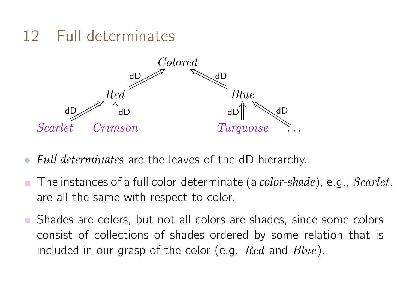#### 12 Full determinates



- *Full determinates* are the leaves of the dD hierarchy.
- The instances of a full color-determinate (a *color-shade*), e.g., Scarlet, are all the same with respect to color.
- Shades are colors, but not all colors are shades, since some colors consist of collections of shades ordered by some relation that is included in our grasp of the color (e.g.  $Red$  and  $Blue$ ).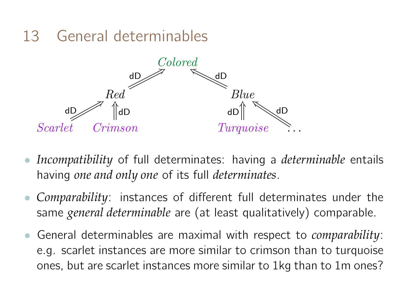#### 13 General determinables



- *Incompatibility* of full determinates: having a *determinable* entails having *one and only one* of its full *determinates*.
- *Comparability*: instances of different full determinates under the same *general determinable* are (at least qualitatively) comparable.
- General determinables are maximal with respect to *comparability*: e.g. scarlet instances are more similar to crimson than to turquoise ones, but are scarlet instances more similar to 1kg than to 1m ones?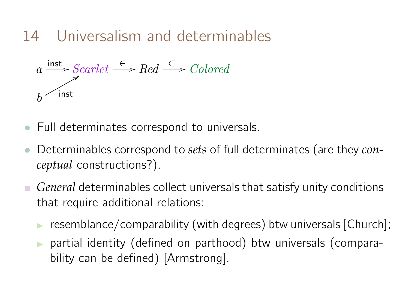14 Universalism and determinables

$$
a \xrightarrow{\text{inst}} \text{Scarlet} \xrightarrow{\in} \text{Red} \xrightarrow{\subset} \text{Colored}
$$
  

$$
b \xrightarrow{\text{inst}}
$$

- Full determinates correspond to universals.
- Determinables correspond to *sets* of full determinates (are they *conceptual* constructions?).
- *General* determinables collect universals that satisfy unity conditions that require additional relations:
	- $\triangleright$  resemblance/comparability (with degrees) btw universals [Church];
	- $\triangleright$  partial identity (defined on parthood) btw universals (comparability can be defined) [Armstrong].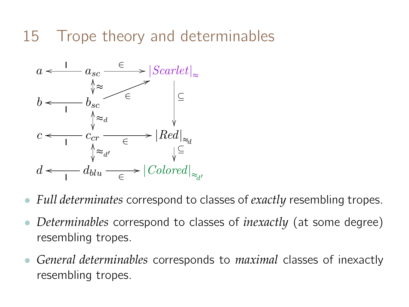#### 15 Trope theory and determinables



- *Full determinates* correspond to classes of *exactly* resembling tropes.
- *Determinables* correspond to classes of *inexactly* (at some degree) resembling tropes.
- *General determinables* corresponds to *maximal* classes of inexactly resembling tropes.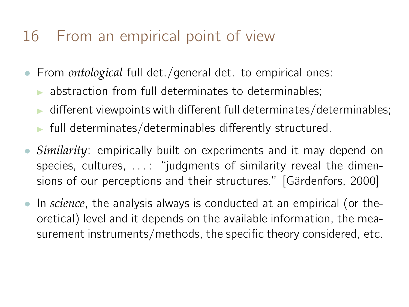# 16 From an empirical point of view

- From *ontological* full det./general det. to empirical ones:
	- $\triangleright$  abstraction from full determinates to determinables:
	- different viewpoints with different full determinates/determinables;
	- $\blacktriangleright$  full determinates/determinables differently structured.
- *Similarity*: empirically built on experiments and it may depend on species, cultures, ...: "judgments of similarity reveal the dimensions of our perceptions and their structures." [Gärdenfors, 2000]
- In *science*, the analysis always is conducted at an empirical (or theoretical) level and it depends on the available information, the measurement instruments/methods, the specific theory considered, etc.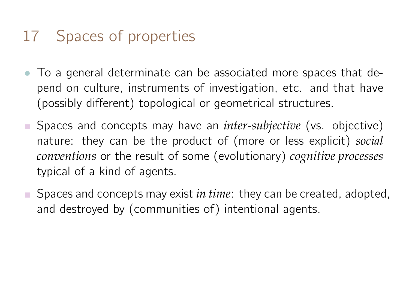# 17 Spaces of properties

- To a general determinate can be associated more spaces that depend on culture, instruments of investigation, etc. and that have (possibly different) topological or geometrical structures.
- Spaces and concepts may have an *inter-subjective* (vs. objective) nature: they can be the product of (more or less explicit) *social conventions* or the result of some (evolutionary) *cognitive processes* typical of a kind of agents.
- **Spaces and concepts may exist** *in time***: they can be created, adopted,** and destroyed by (communities of) intentional agents.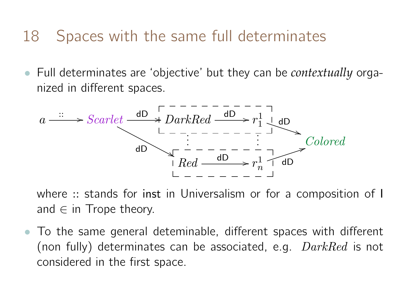#### 18 Spaces with the same full determinates

• Full determinates are 'objective' but they can be *contextually* organized in different spaces.



where :: stands for inst in Universalism or for a composition of I and  $\in$  in Trope theory.

• To the same general deteminable, different spaces with different (non fully) determinates can be associated, e.g.  $DarkRed$  is not considered in the first space.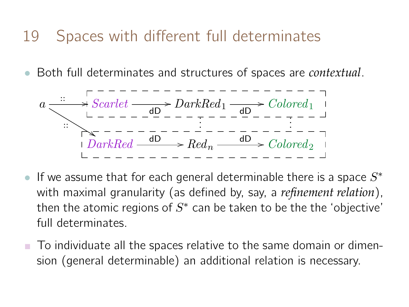#### 19 Spaces with different full determinates

• Both full determinates and structures of spaces are *contextual*.

$$
a \xrightarrow{\cdots} Scarlet \xrightarrow{\text{dD}} DarkRed_1 \xrightarrow{\text{dD}} Colored_1
$$
\n
$$
\vdots \xrightarrow{\text{dD}} \cdots \xrightarrow{\text{dD}} \cdots \xrightarrow{\text{dD}} \cdots \xrightarrow{\text{dD}} \cdots \xrightarrow{\text{d}} \cdots
$$
\n
$$
\vdots \xrightarrow{\text{dD}} \cdots \xrightarrow{\text{d}} \cdots \xrightarrow{\text{d}} \cdots
$$
\n
$$
\text{DarkRed} \xrightarrow{\text{dD}} Red_n \xrightarrow{\text{dD}} Colored_2
$$

- If we assume that for each general determinable there is a space  $S^*$ with maximal granularity (as defined by, say, a *refinement relation*), then the atomic regions of  $S^*$  can be taken to be the the 'objective' full determinates.
- To individuate all the spaces relative to the same domain or dimension (general determinable) an additional relation is necessary.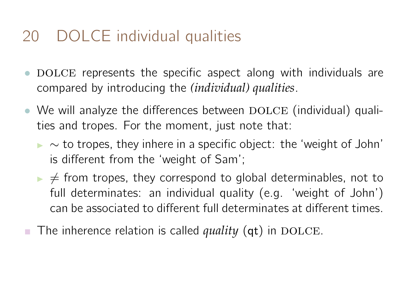# 20 DOLCE individual qualities

- DOLCE represents the specific aspect along with individuals are compared by introducing the *(individual) qualities*.
- We will analyze the differences between  $DOLCE$  (individual) qualities and tropes. For the moment, just note that:
	- $\triangleright \sim$  to tropes, they inhere in a specific object: the 'weight of John' is different from the 'weight of Sam';
	- $\triangleright \neq$  from tropes, they correspond to global determinables, not to full determinates: an individual quality (e.g. 'weight of John') can be associated to different full determinates at different times.
- The inherence relation is called *quality*  $(qt)$  in DOLCE.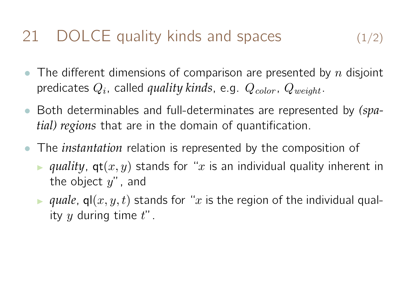## 21 DOLCE quality kinds and spaces  $(1/2)$

- The different dimensions of comparison are presented by n disjoint predicates  $Q_i$ , called *quality kinds*, e.g.  $Q_{color}$ ,  $Q_{weight}$ .
- Both determinables and full-determinates are represented by *(spatial) regions* that are in the domain of quantification.
- The *instantation* relation is represented by the composition of
	- **I** *quality*,  $gt(x, y)$  stands for "x is an individual quality inherent in the object  $y''$ , and
	- **If** quale,  $q(x, y, t)$  stands for "x is the region of the individual quality  $y$  during time  $t$ ".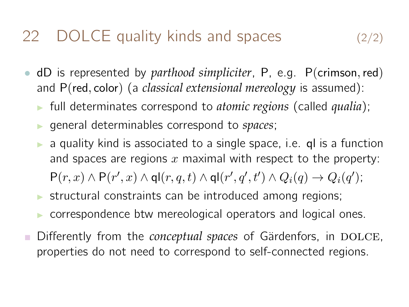#### 22 DOLCE quality kinds and spaces (2/2)

- dD is represented by *parthood simpliciter*, P, e.g. P(crimson,red) and P(red, color) (a *classical extensional mereology* is assumed):
	- I full determinates correspond to *atomic regions* (called *qualia*);
	- <sup>I</sup> general determinables correspond to *spaces*;
	- a quality kind is associated to a single space, i.e. ql is a function and spaces are regions  $x$  maximal with respect to the property:  $P(r, x) \wedge P(r', x) \wedge q l(r, q, t) \wedge q l(r', q', t') \wedge Q_i(q) \rightarrow Q_i(q');$
	- $\triangleright$  structural constraints can be introduced among regions;
	- $\triangleright$  correspondence btw mereological operators and logical ones.
- Differently from the *conceptual spaces* of Gärdenfors, in DOLCE, properties do not need to correspond to self-connected regions.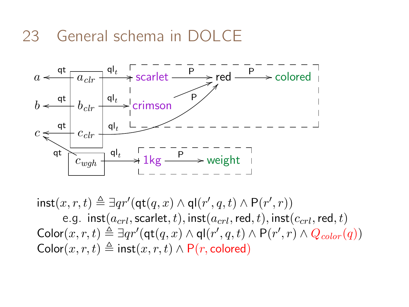#### 23 General schema in DC



 $\text{inst}(x, r, t) \triangleq \exists qr'(\text{qt}(q, x) \land \text{ql}(r', q, t) \land \text{P}(r', r))$ e.g. inst $(a_{crl}, \text{scatter}, t)$ , inst $(a_{crl}, \text{red}, t)$ , inst $(c_{crl}, \text{red}, t)$  $\mathsf{Color}(x,r,t) \triangleq \exists q r'(\mathsf{qt}(q,x) \land \mathsf{ql}(r',q,t) \land \mathsf{P}(r',r) \land Q_{color}(q))$ Color $(x, r, t) \triangleq$  inst $(x, r, t) \wedge P(r, \text{colored})$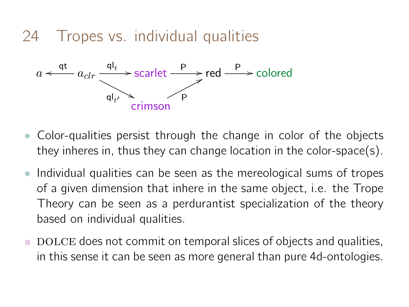24 Tropes vs. individual qualities



- Color-qualities persist through the change in color of the objects they inheres in, thus they can change location in the color-space(s).
- Individual qualities can be seen as the mereological sums of tropes of a given dimension that inhere in the same object, i.e. the Trope Theory can be seen as a perdurantist specialization of the theory based on individual qualities.
- $\blacksquare$  DOLCE does not commit on temporal slices of objects and qualities, in this sense it can be seen as more general than pure 4d-ontologies.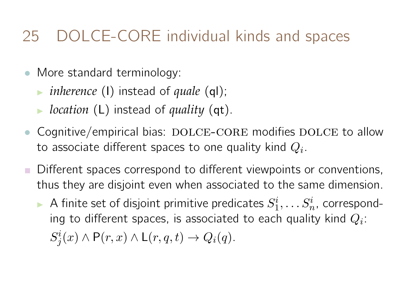# 25 DOLCE-CORE individual kinds and spaces

- More standard terminology:
	- **inherence** (I) instead of *quale* (ql);
	- ► *location* (**L**) instead of *quality* (**qt**).
- Cognitive/empirical bias: DOLCE-CORE modifies DOLCE to allow to associate different spaces to one quality kind  $Q_i.$
- Different spaces correspond to different viewpoints or conventions, thus they are disjoint even when associated to the same dimension.
	- $\blacktriangleright$  A finite set of disjoint primitive predicates  $S^i_1,\ldots S^i_n$ , corresponding to different spaces, is associated to each quality kind  $Q_i\colon$  $S_j^i(x) \wedge \mathsf{P}(r,x) \wedge \mathsf{L}(r,q,t) \rightarrow Q_i(q).$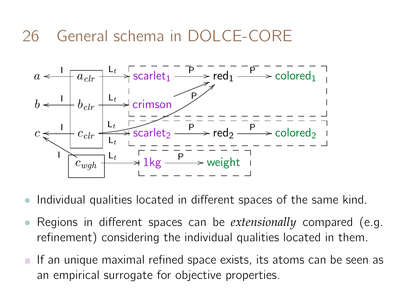# 26 General schema in DOLCE-CORE



- Individual qualities located in different spaces of the same kind.
- Regions in different spaces can be *extensionally* compared (e.g. refinement) considering the individual qualities located in them.
- $\blacksquare$  If an unique maximal refined space exists, its atoms can be seen as an empirical surrogate for objective properties.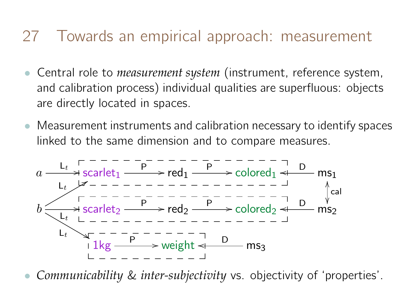#### 27 Towards an empirical approach: measurement

- Central role to *measurement system* (instrument, reference system, and calibration process) individual qualities are superfluous: objects are directly located in spaces.
- Measurement instruments and calibration necessary to identify spaces linked to the same dimension and to compare measures.



• *Communicability* & *inter-subjectivity* vs. objectivity of 'properties'.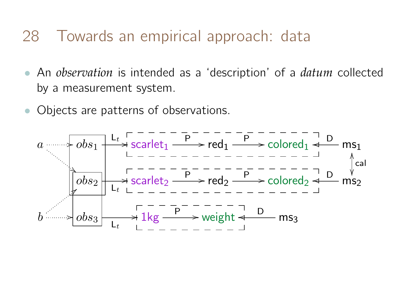#### 28 Towards an empirical approach: data

- An *observation* is intended as a 'description' of a *datum* collected by a measurement system.
- Objects are patterns of observations.

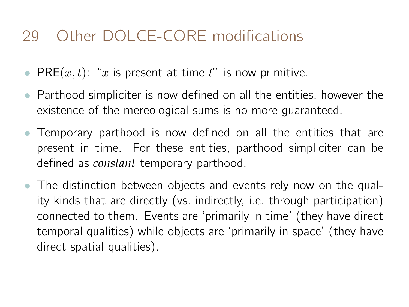# 29 Other DOLCE-CORE modifications

- PRE $(x, t)$ : "x is present at time t" is now primitive.
- Parthood simpliciter is now defined on all the entities, however the existence of the mereological sums is no more guaranteed.
- Temporary parthood is now defined on all the entities that are present in time. For these entities, parthood simpliciter can be defined as *constant* temporary parthood.
- The distinction between objects and events rely now on the quality kinds that are directly (vs. indirectly, i.e. through participation) connected to them. Events are 'primarily in time' (they have direct temporal qualities) while objects are 'primarily in space' (they have direct spatial qualities).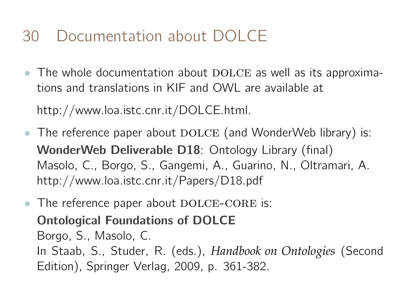# 30 Documentation about DOLCE

• The whole documentation about  $DOLCE$  as well as its approximations and translations in KIF and OWL are available at

http://www.loa.istc.cnr.it/DOLCE.html.

- The reference paper about  $DOLCE$  (and WonderWeb library) is: WonderWeb Deliverable D18: Ontology Library (final) Masolo, C., Borgo, S., Gangemi, A., Guarino, N., Oltramari, A. http://www.loa.istc.cnr.it/Papers/D18.pdf
- The reference paper about  $\text{DOLCE-CORE}$  is: Ontological Foundations of DOLCE Borgo, S., Masolo, C. In Staab, S., Studer, R. (eds.), *Handbook on Ontologies* (Second Edition), Springer Verlag, 2009, p. 361-382.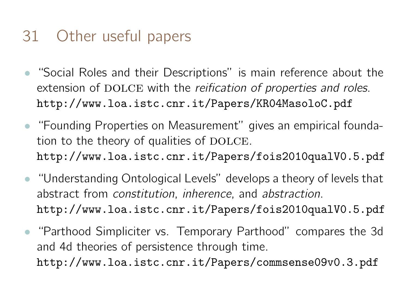## 31 Other useful papers

- "Social Roles and their Descriptions" is main reference about the extension of DOLCE with the reification of properties and roles. http://www.loa.istc.cnr.it/Papers/KR04MasoloC.pdf
- "Founding Properties on Measurement" gives an empirical foundation to the theory of qualities of DOLCE. http://www.loa.istc.cnr.it/Papers/fois2010qualV0.5.pdf
- "Understanding Ontological Levels" develops a theory of levels that abstract from constitution, inherence, and abstraction. http://www.loa.istc.cnr.it/Papers/fois2010qualV0.5.pdf
- "Parthood Simpliciter vs. Temporary Parthood" compares the 3d and 4d theories of persistence through time. http://www.loa.istc.cnr.it/Papers/commsense09v0.3.pdf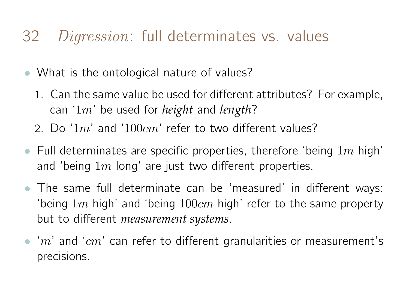#### 32 *Digression*: full determinates vs. values

- What is the ontological nature of values?
	- 1. Can the same value be used for different attributes? For example, can '1m' be used for *height* and *length*?
	- 2. Do '1m' and '100 $cm$ ' refer to two different values?
- Full determinates are specific properties, therefore 'being  $1m$  high' and 'being  $1m$  long' are just two different properties.
- The same full determinate can be 'measured' in different ways: 'being  $1m$  high' and 'being  $100cm$  high' refer to the same property but to different *measurement systems*.
- 'm' and ' $cm$ ' can refer to different granularities or measurement's precisions.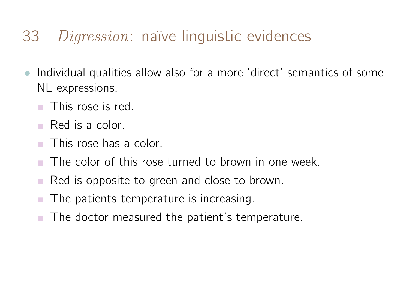#### 33 *Digression*: naïve linguistic evidences

- Individual qualities allow also for a more 'direct' semantics of some NL expressions.
	- This rose is red.
	- Red is a color.
	- **This rose has a color.**
	- The color of this rose turned to brown in one week.
	- Red is opposite to green and close to brown.
	- The patients temperature is increasing.
	- The doctor measured the patient's temperature.